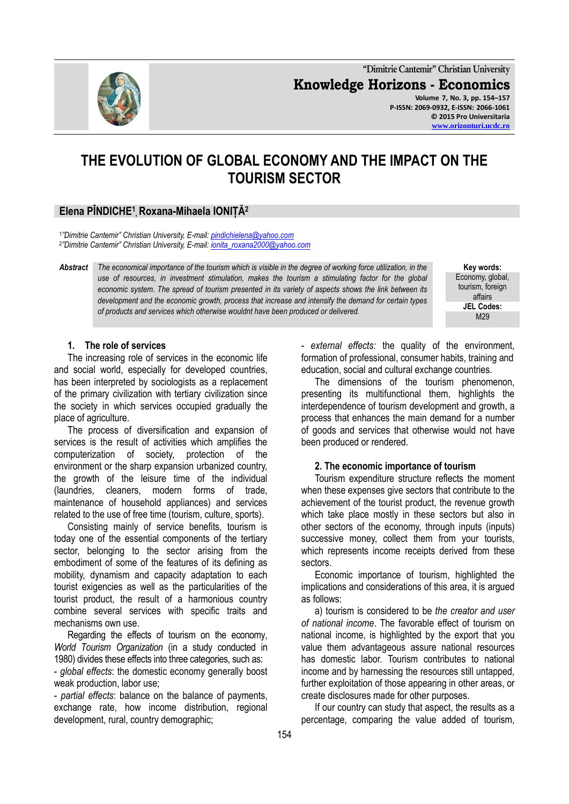**"Dimitrie Cantemir" Christian University Knowledge Horizons - Economics Volume 7, No. 3, pp. 154–157 P-ISSN: 2069-0932, E-ISSN: 2066-1061 © 2015 Pro Universitaria [www.orizonturi.ucdc.ro](http://www.orizonturi.ucdc.ro/)**

# **THE EVOLUTION OF GLOBAL ECONOMY AND THE IMPACT ON THE TOURISM SECTOR**

## **Elena PÎNDICHE<sup>1</sup> ,Roxana-Mihaela IONIȚĂ<sup>2</sup>**

1 *"Dimitrie Cantemir" Christian University, E-mail: [pindichielena@yahoo.com](mailto:pindichielena@yahoo.com)* 2 *"Dimitrie Cantemir" Christian University, E-mail: [ionita\\_roxana2000@yahoo.com](mailto:ionita_roxana2000@yahoo.com)*

*Abstract The economical importance of the tourism which is visible in the degree of working force utilization, in the use of resources, in investment stimulation, makes the tourism a stimulating factor for the global economic system. The spread of tourism presented in its variety of aspects shows the link between its development and the economic growth, process that increase and intensify the demand for certain types of products and services which otherwise wouldnt have been produced or delivered.*

**Key words:** Economy, global, tourism, foreign affairs **JEL Codes:** M<sub>29</sub>

#### **1. The role of services**

The increasing role of services in the economic life and social world, especially for developed countries, has been interpreted by sociologists as a replacement of the primary civilization with tertiary civilization since the society in which services occupied gradually the place of agriculture.

The process of diversification and expansion of services is the result of activities which amplifies the computerization of society, protection of the environment or the sharp expansion urbanized country, the growth of the leisure time of the individual (laundries, cleaners, modern forms of trade, maintenance of household appliances) and services related to the use of free time (tourism, culture, sports).

Consisting mainly of service benefits, tourism is today one of the essential components of the tertiary sector, belonging to the sector arising from the embodiment of some of the features of its defining as mobility, dynamism and capacity adaptation to each tourist exigencies as well as the particularities of the tourist product, the result of a harmonious country combine several services with specific traits and mechanisms own use.

Regarding the effects of tourism on the economy, *World Tourism Organization* (in a study conducted in 1980) divides these effects into three categories, such as:

- *global effects*: the domestic economy generally boost weak production, labor use;

- *partial effects*: balance on the balance of payments, exchange rate, how income distribution, regional development, rural, country demographic;

- *external effects:* the quality of the environment, formation of professional, consumer habits, training and education, social and cultural exchange countries.

The dimensions of the tourism phenomenon, presenting its multifunctional them, highlights the interdependence of tourism development and growth, a process that enhances the main demand for a number of goods and services that otherwise would not have been produced or rendered.

#### **2. The economic importance of tourism**

Tourism expenditure structure reflects the moment when these expenses give sectors that contribute to the achievement of the tourist product, the revenue growth which take place mostly in these sectors but also in other sectors of the economy, through inputs (inputs) successive money, collect them from your tourists, which represents income receipts derived from these sectors.

Economic importance of tourism, highlighted the implications and considerations of this area, it is argued as follows:

a) tourism is considered to be *the creator and user of national income*. The favorable effect of tourism on national income, is highlighted by the export that you value them advantageous assure national resources has domestic labor. Tourism contributes to national income and by harnessing the resources still untapped, further exploitation of those appearing in other areas, or create disclosures made for other purposes.

If our country can study that aspect, the results as a percentage, comparing the value added of tourism,

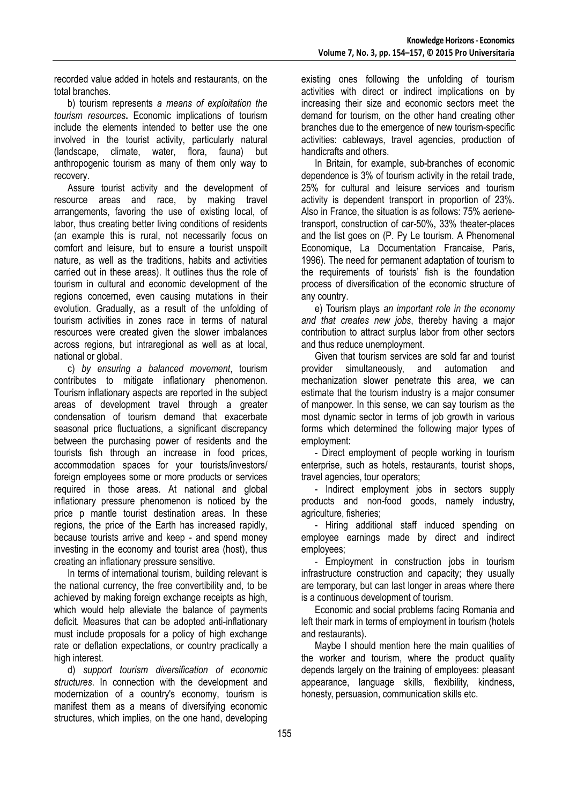recorded value added in hotels and restaurants, on the total branches.

b) tourism represents *a means of exploitation the tourism resources***.** Economic implications of tourism include the elements intended to better use the one involved in the tourist activity, particularly natural (landscape, climate, water, flora, fauna) but anthropogenic tourism as many of them only way to recovery.

Assure tourist activity and the development of resource areas and race, by making travel arrangements, favoring the use of existing local, of labor, thus creating better living conditions of residents (an example this is rural, not necessarily focus on comfort and leisure, but to ensure a tourist unspoilt nature, as well as the traditions, habits and activities carried out in these areas). It outlines thus the role of tourism in cultural and economic development of the regions concerned, even causing mutations in their evolution. Gradually, as a result of the unfolding of tourism activities in zones race in terms of natural resources were created given the slower imbalances across regions, but intraregional as well as at local, national or global.

c) *by ensuring a balanced movement*, tourism contributes to mitigate inflationary phenomenon. Tourism inflationary aspects are reported in the subject areas of development travel through a greater condensation of tourism demand that exacerbate seasonal price fluctuations, a significant discrepancy between the purchasing power of residents and the tourists fish through an increase in food prices, accommodation spaces for your tourists/investors/ foreign employees some or more products or services required in those areas. At national and global inflationary pressure phenomenon is noticed by the price p mantle tourist destination areas. In these regions, the price of the Earth has increased rapidly, because tourists arrive and keep - and spend money investing in the economy and tourist area (host), thus creating an inflationary pressure sensitive.

In terms of international tourism, building relevant is the national currency, the free convertibility and, to be achieved by making foreign exchange receipts as high, which would help alleviate the balance of payments deficit. Measures that can be adopted anti-inflationary must include proposals for a policy of high exchange rate or deflation expectations, or country practically a high interest.

d) *support tourism diversification of economic structures*. In connection with the development and modernization of a country's economy, tourism is manifest them as a means of diversifying economic structures, which implies, on the one hand, developing

existing ones following the unfolding of tourism activities with direct or indirect implications on by increasing their size and economic sectors meet the demand for tourism, on the other hand creating other branches due to the emergence of new tourism-specific activities: cableways, travel agencies, production of handicrafts and others.

In Britain, for example, sub-branches of economic dependence is 3% of tourism activity in the retail trade, 25% for cultural and leisure services and tourism activity is dependent transport in proportion of 23%. Also in France, the situation is as follows: 75% aerienetransport, construction of car-50%, 33% theater-places and the list goes on (P. Py Le tourism. A Phenomenal Economique, La Documentation Francaise, Paris, 1996). The need for permanent adaptation of tourism to the requirements of tourists' fish is the foundation process of diversification of the economic structure of any country.

e) Tourism plays *an important role in the economy and that creates new jobs*, thereby having a major contribution to attract surplus labor from other sectors and thus reduce unemployment.

Given that tourism services are sold far and tourist provider simultaneously, and automation and mechanization slower penetrate this area, we can estimate that the tourism industry is a major consumer of manpower. In this sense, we can say tourism as the most dynamic sector in terms of job growth in various forms which determined the following major types of employment:

- Direct employment of people working in tourism enterprise, such as hotels, restaurants, tourist shops, travel agencies, tour operators;

- Indirect employment jobs in sectors supply products and non-food goods, namely industry, agriculture, fisheries;

- Hiring additional staff induced spending on employee earnings made by direct and indirect employees;

- Employment in construction jobs in tourism infrastructure construction and capacity; they usually are temporary, but can last longer in areas where there is a continuous development of tourism.

Economic and social problems facing Romania and left their mark in terms of employment in tourism (hotels and restaurants).

Maybe I should mention here the main qualities of the worker and tourism, where the product quality depends largely on the training of employees: pleasant appearance, language skills, flexibility, kindness, honesty, persuasion, communication skills etc.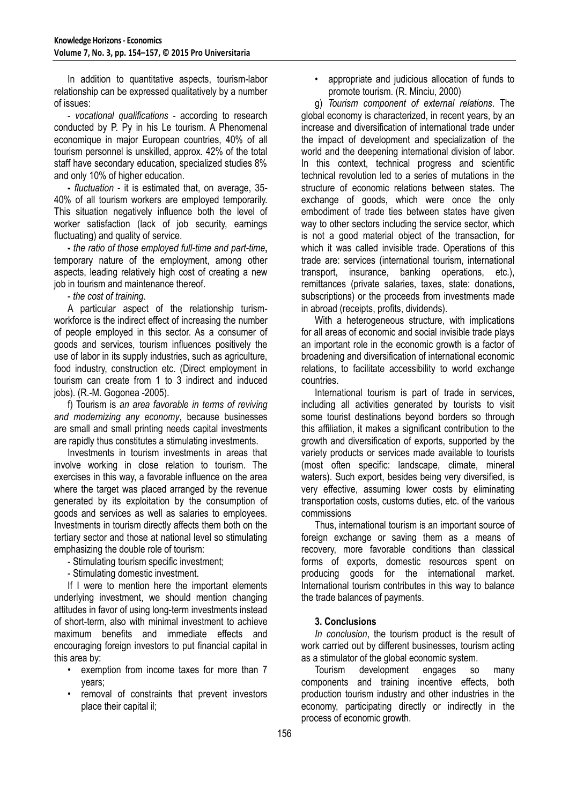In addition to quantitative aspects, tourism-labor relationship can be expressed qualitatively by a number of issues:

- *vocational qualifications* - according to research conducted by P. Py in his Le tourism. A Phenomenal economique in major European countries, 40% of all tourism personnel is unskilled, approx. 42% of the total staff have secondary education, specialized studies 8% and only 10% of higher education.

**-** *fluctuation* - it is estimated that, on average, 35- 40% of all tourism workers are employed temporarily. This situation negatively influence both the level of worker satisfaction (lack of job security, earnings fluctuating) and quality of service.

**-** *the ratio of those employed full-time and part-time***,** temporary nature of the employment, among other aspects, leading relatively high cost of creating a new job in tourism and maintenance thereof.

- *the cost of training*.

A particular aspect of the relationship turismworkforce is the indirect effect of increasing the number of people employed in this sector. As a consumer of goods and services, tourism influences positively the use of labor in its supply industries, such as agriculture, food industry, construction etc. (Direct employment in tourism can create from 1 to 3 indirect and induced jobs). (R.-M. Gogonea -2005).

f) Tourism is *an area favorable in terms of reviving and modernizing any economy*, because businesses are small and small printing needs capital investments are rapidly thus constitutes a stimulating investments.

Investments in tourism investments in areas that involve working in close relation to tourism. The exercises in this way, a favorable influence on the area where the target was placed arranged by the revenue generated by its exploitation by the consumption of goods and services as well as salaries to employees. Investments in tourism directly affects them both on the tertiary sector and those at national level so stimulating emphasizing the double role of tourism:

- Stimulating tourism specific investment;
- Stimulating domestic investment.

If I were to mention here the important elements underlying investment, we should mention changing attitudes in favor of using long-term investments instead of short-term, also with minimal investment to achieve maximum benefits and immediate effects and encouraging foreign investors to put financial capital in this area by:

- exemption from income taxes for more than 7 years;
- removal of constraints that prevent investors place their capital il;

• appropriate and judicious allocation of funds to promote tourism. (R. Minciu, 2000)

g) *Tourism component of external relations*. The global economy is characterized, in recent years, by an increase and diversification of international trade under the impact of development and specialization of the world and the deepening international division of labor. In this context, technical progress and scientific technical revolution led to a series of mutations in the structure of economic relations between states. The exchange of goods, which were once the only embodiment of trade ties between states have given way to other sectors including the service sector, which is not a good material object of the transaction, for which it was called invisible trade. Operations of this trade are: services (international tourism, international transport, insurance, banking operations, etc.), remittances (private salaries, taxes, state: donations, subscriptions) or the proceeds from investments made in abroad (receipts, profits, dividends).

With a heterogeneous structure, with implications for all areas of economic and social invisible trade plays an important role in the economic growth is a factor of broadening and diversification of international economic relations, to facilitate accessibility to world exchange countries.

International tourism is part of trade in services, including all activities generated by tourists to visit some tourist destinations beyond borders so through this affiliation, it makes a significant contribution to the growth and diversification of exports, supported by the variety products or services made available to tourists (most often specific: landscape, climate, mineral waters). Such export, besides being very diversified, is very effective, assuming lower costs by eliminating transportation costs, customs duties, etc. of the various commissions

Thus, international tourism is an important source of foreign exchange or saving them as a means of recovery, more favorable conditions than classical forms of exports, domestic resources spent on producing goods for the international market. International tourism contributes in this way to balance the trade balances of payments.

### **3. Conclusions**

*In conclusion*, the tourism product is the result of work carried out by different businesses, tourism acting as a stimulator of the global economic system.

Tourism development engages so many components and training incentive effects, both production tourism industry and other industries in the economy, participating directly or indirectly in the process of economic growth.